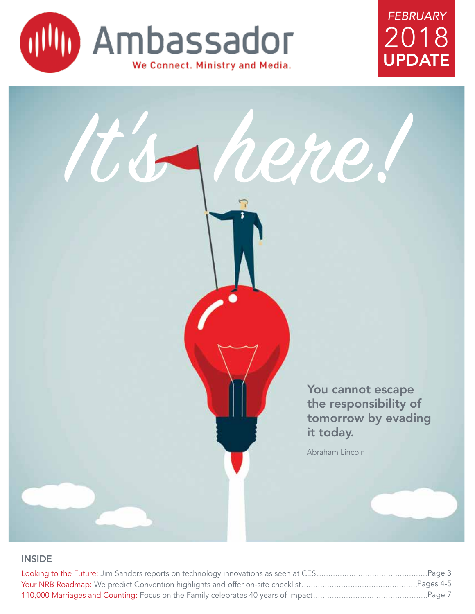





## INSIDE

| $\ldots$ Pages 4-5                                                                            |  |
|-----------------------------------------------------------------------------------------------|--|
| 110,000 Marriages and Counting: Focus on the Family celebrates 40 years of impact<br>……Page 7 |  |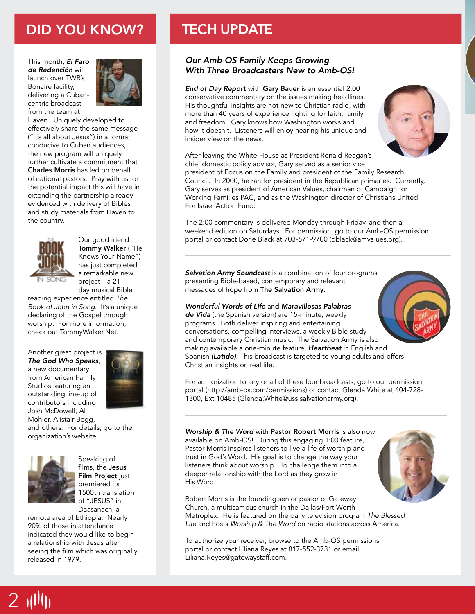# DID YOU KNOW? TECH UPDATE

This month, *El Faro de Redención* will launch over TWR's Bonaire facility, delivering a Cubancentric broadcast from the team at



Haven. Uniquely developed to effectively share the same message ("it's all about Jesus") in a format conducive to Cuban audiences, the new program will uniquely further cultivate a commitment that Charles Morris has led on behalf of national pastors. Pray with us for the potential impact this will have in extending the partnership already evidenced with delivery of Bibles and study materials from Haven to the country.



Our good friend Tommy Walker ("He Knows Your Name") has just completed a remarkable new project—a 21 day musical Bible

reading experience entitled *The Book of John in Song*. It's a unique declaring of the Gospel through worship. For more information, check out TommyWalker.Net.

Another great project is *The God Who Speaks*, a new documentary

from American Family Studios featuring an outstanding line-up of contributors including Josh McDowell, Al



Mohler, Alistair Begg, and others. For details, go to the organization's website.



 $2$   $1$ <sup> $1$ </sup> $1$ 

Speaking of films, the Jesus Film Project just premiered its 1500th translation of "JESUS" in Daasanach, a

remote area of Ethiopia. Nearly 90% of those in attendance indicated they would like to begin a relationship with Jesus after seeing the film which was originally released in 1979.

## *Our Amb-OS Family Keeps Growing With Three Broadcasters New to Amb-OS!*

*End of Day Report* with Gary Bauer is an essential 2:00 conservative commentary on the issues making headlines. His thoughtful insights are not new to Christian radio, with more than 40 years of experience fighting for faith, family and freedom. Gary knows how Washington works and how it doesn't. Listeners will enjoy hearing his unique and insider view on the news.



After leaving the White House as President Ronald Reagan's chief domestic policy advisor, Gary served as a senior vice president of Focus on the Family and president of the Family Research

Council. In 2000, he ran for president in the Republican primaries. Currently, Gary serves as president of American Values, chairman of Campaign for Working Families PAC, and as the Washington director of Christians United For Israel Action Fund.

The 2:00 commentary is delivered Monday through Friday, and then a weekend edition on Saturdays. For permission, go to our Amb-OS permission portal or contact Dorie Black at 703-671-9700 (dblack@amvalues.org).

*Salvation Army Soundcast* is a combination of four programs presenting Bible-based, contemporary and relevant messages of hope from The Salvation Army.

### *Wonderful Words of Life* and *Maravillosas Palabras*

*de Vida* (the Spanish version) are 15-minute, weekly programs. Both deliver inspiring and entertaining conversations, compelling interviews, a weekly Bible study and contemporary Christian music. The Salvation Army is also making available a one-minute feature, *Heartbeat* in English and Spanish *(Latido)*. This broadcast is targeted to young adults and offers Christian insights on real life.

For authorization to any or all of these four broadcasts, go to our permission portal (http://amb-os.com/permissions) or contact Glenda White at 404-728- 1300, Ext 10485 (Glenda.White@uss.salvationarmy.org).

### *Worship & The Word* with Pastor Robert Morris is also now

available on Amb-OS! During this engaging 1:00 feature, Pastor Morris inspires listeners to live a life of worship and trust in God's Word. His goal is to change the way your listeners think about worship. To challenge them into a deeper relationship with the Lord as they grow in His Word.

Robert Morris is the founding senior pastor of Gateway Church, a multicampus church in the Dallas/Fort Worth Metroplex. He is featured on the daily television program *The Blessed Life* and hosts *Worship & The Word* on radio stations across America.

To authorize your receiver, browse to the Amb-OS permissions portal or contact Liliana Reyes at 817-552-3731 or email Liliana.Reyes@gatewaystaff.com.

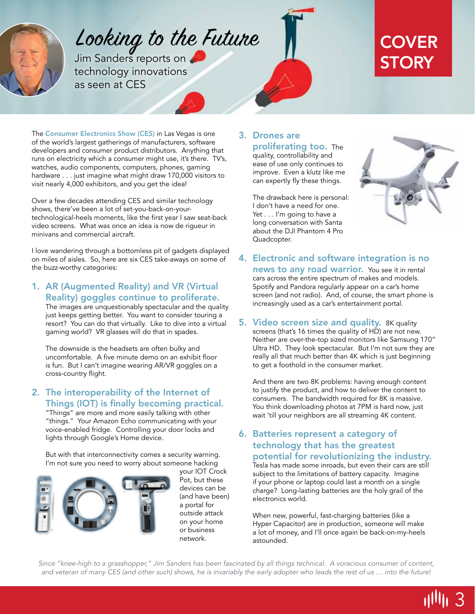

# Looking to the Future

Jim Sanders reports on **STORY** technology innovations as seen at CES

# **COVER**

The Consumer Electronics Show (CES) in Las Vegas is one of the world's largest gatherings of manufacturers, software developers and consumer product distributors. Anything that runs on electricity which a consumer might use, it's there. TV's, watches, audio components, computers, phones, gaming hardware . . . just imagine what might draw 170,000 visitors to visit nearly 4,000 exhibitors, and you get the idea!

Over a few decades attending CES and similar technology shows, there've been a lot of set-you-back-on-yourtechnological-heels moments, like the first year I saw seat-back video screens. What was once an idea is now de rigueur in minivans and commercial aircraft.

I love wandering through a bottomless pit of gadgets displayed on miles of aisles. So, here are six CES take-aways on some of the buzz-worthy categories:

1. AR (Augmented Reality) and VR (Virtual Reality) goggles continue to proliferate.

The images are unquestionably spectacular and the quality just keeps getting better. You want to consider touring a resort? You can do that virtually. Like to dive into a virtual gaming world? VR glasses will do that in spades.

The downside is the headsets are often bulky and uncomfortable. A five minute demo on an exhibit floor is fun. But I can't imagine wearing AR/VR goggles on a cross-country flight.

2. The interoperability of the Internet of Things (IOT) is finally becoming practical.

"Things" are more and more easily talking with other "things." Your Amazon Echo communicating with your voice-enabled fridge. Controlling your door locks and lights through Google's Home device.

But with that interconnectivity comes a security warning. I'm not sure you need to worry about someone hacking



your IOT Crock Pot, but these devices can be (and have been) a portal for outside attack on your home or business network.

## 3. Drones are proliferating too. The

quality, controllability and ease of use only continues to improve. Even a klutz like me can expertly fly these things.

The drawback here is personal: I don't have a need for one. Yet . . . I'm going to have a long conversation with Santa about the DJI Phantom 4 Pro Quadcopter.



3

- 4. Electronic and software integration is no news to any road warrior. You see it in rental cars across the entire spectrum of makes and models. Spotify and Pandora regularly appear on a car's home screen (and not radio). And, of course, the smart phone is increasingly used as a car's entertainment portal.
- 5. Video screen size and quality. 8K quality screens (that's 16 times the quality of HD) are not new. Neither are over-the-top sized monitors like Samsung 170" Ultra HD. They look spectacular. But I'm not sure they are really all that much better than 4K which is just beginning to get a foothold in the consumer market.

And there are two 8K problems: having enough content to justify the product, and how to deliver the content to consumers. The bandwidth required for 8K is massive. You think downloading photos at 7PM is hard now, just wait 'till your neighbors are all streaming 4K content.

6. Batteries represent a category of technology that has the greatest potential for revolutionizing the industry.

Tesla has made some inroads, but even their cars are still subject to the limitations of battery capacity. Imagine if your phone or laptop could last a month on a single charge? Long-lasting batteries are the holy grail of the electronics world.

When new, powerful, fast-charging batteries (like a Hyper Capacitor) are in production, someone will make a lot of money, and I'll once again be back-on-my-heels astounded.

*Since "knee-high to a grasshopper," Jim Sanders has been fascinated by all things technical. A voracious consumer of content, and veteran of many CES (and other such) shows, he is invariably the early adopter who leads the rest of us … into the future!*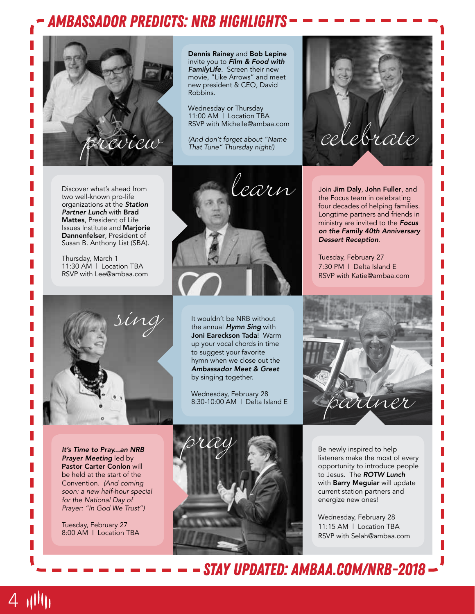# *ambAssador predicts: nrb highlights*



Discover what's ahead from two well-known pro-life organizations at the *Station Partner Lunch* with Brad Mattes, President of Life Issues Institute and Marjorie Dannenfelser, President of Susan B. Anthony List (SBA).

Thursday, March 1 11:30 AM | Location TBA RSVP with Lee@ambaa.com





Dennis Rainey and Bob Lepine invite you to *Film & Food with FamilyLife*. Screen their new movie, "Like Arrows" and meet new president & CEO, David

*(And don't forget about "Name That Tune" Thursday night!)*

Wednesday or Thursday 11:00 AM | Location TBA RSVP with Michelle@ambaa.com

Robbins.

It wouldn't be NRB without the annual *Hymn Sing* with Joni Eareckson Tada! Warm up your vocal chords in time to suggest your favorite hymn when we close out the *Ambassador Meet & Greet*  by singing together.

Wednesday, February 28 8:30-10:00 AM | Delta Island E



Join Jim Daly, John Fuller, and the Focus team in celebrating four decades of helping families. Longtime partners and friends in ministry are invited to the *Focus on the Family 40th Anniversary Dessert Reception*.

Tuesday, February 27 7:30 PM | Delta Island E RSVP with Katie@ambaa.com



*It's Time to Pray...an NRB Prayer Meeting* led by Pastor Carter Conlon will be held at the start of the Convention. *(And coming soon: a new half-hour special for the National Day of Prayer: "In God We Trust")*

Tuesday, February 27 8:00 AM | Location TBA

4 11111



Be newly inspired to help listeners make the most of every opportunity to introduce people to Jesus. The *ROTW Lunch*  with Barry Meguiar will update current station partners and energize new ones!

Wednesday, February 28 11:15 AM | Location TBA RSVP with Selah@ambaa.com

 *stay updated: ambaa.com/nrb-2018*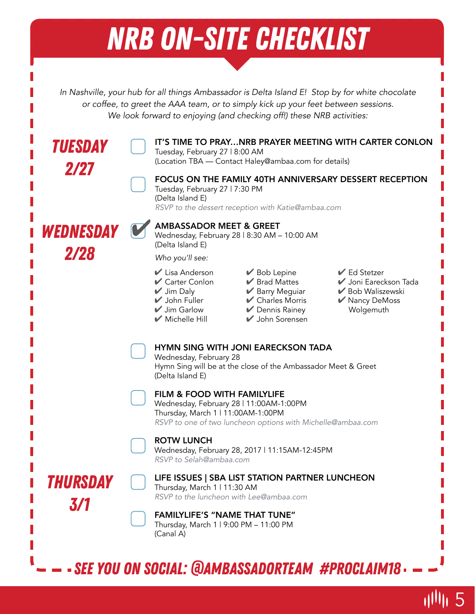# *NRB ON-SITE CHECKLIST*

*In Nashville, your hub for all things Ambassador is Delta Island E! Stop by for white chocolate or coffee, to greet the AAA team, or to simply kick up your feet between sessions. We look forward to enjoying (and checking off!) these NRB activities:*



5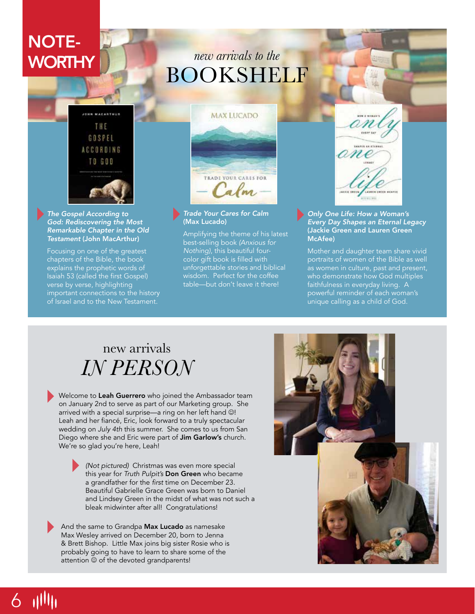# NOTE-

# WORTHY *new arrivals to the* BOOKSHELF



*The Gospel According to God: Rediscovering the Most Remarkable Chapter in the Old Testament* (John MacArthur)

Focusing on one of the greatest chapters of the Bible, the book explains the prophetic words of Isaiah 53 (called the first Gospel) verse by verse, highlighting important connections to the history of Israel and to the New Testament.



### *Trade Your Cares for Calm* (Max Lucado)

Amplifying the theme of his latest best-selling book *(Anxious for Nothing)*, this beautiful fourcolor gift book is filled with unforgettable stories and biblical wisdom. Perfect for the coffee table—but don't leave it there!



### *Only One Life: How a Woman's Every Day Shapes an Eternal Legacy* (Jackie Green and Lauren Green McAfee)

Mother and daughter team share vivid portraits of women of the Bible as well as women in culture, past and present, who demonstrate how God multiples faithfulness in everyday living. A powerful reminder of each woman's unique calling as a child of God.

# new arrivals *IN PERSON*

Welcome to Leah Guerrero who joined the Ambassador team on January 2nd to serve as part of our Marketing group. She arrived with a special surprise—a ring on her left hand  $\circledcirc !$ Leah and her fiancé, Eric, look forward to a truly spectacular wedding on *July 4th* this summer. She comes to us from San Diego where she and Eric were part of Jim Garlow's church. We're so glad you're here, Leah!

> *(Not pictured)* Christmas was even more special this year for *Truth Pulpit's* Don Green who became a grandfather for the first time on December 23. Beautiful Gabrielle Grace Green was born to Daniel and Lindsey Green in the midst of what was not such a bleak midwinter after all! Congratulations!

And the same to Grandpa Max Lucado as namesake Max Wesley arrived on December 20, born to Jenna & Brett Bishop. Little Max joins big sister Rosie who is probably going to have to learn to share some of the attention  $\odot$  of the devoted grandparents!



# 6 1111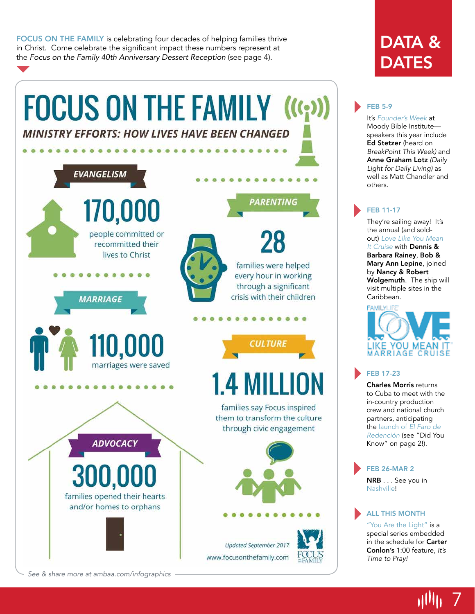FOCUS ON THE FAMILY is celebrating four decades of helping families thrive in Christ. Come celebrate the significant impact these numbers represent at the *Focus on the Family 40th Anniversary Dessert Reception* (see page 4).



# DATA & **DATES**

## FEB 5-9

It's *Founder's Week* at Moody Bible Institute speakers this year include Ed Stetzer (heard on *BreakPoint This Week)* and Anne Graham Lotz *(Daily Light for Daily Living)* as well as Matt Chandler and others.

## FEB 11-17

They're sailing away! It's the annual (and soldout) *Love Like You Mean It Cruise* with Dennis & Barbara Rainey, Bob & Mary Ann Lepine, joined by Nancy & Robert Wolgemuth. The ship will visit multiple sites in the Caribbean.



## FEB 17-23

Charles Morris returns to Cuba to meet with the in-country production crew and national church partners, anticipating the launch of *El Faro de Redención* (see "Did You Know" on page 2!).

# FEB 26-MAR 2

NRB . . . See you in Nashville!

## ALL THIS MONTH

"You Are the Light" is a special series embedded in the schedule for Carter Conlon's 1:00 feature, *It's Time to Pray!*